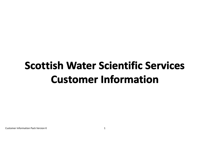# **Scottish Water Scientific Services Customer Information**

Customer Information Pack Version K 1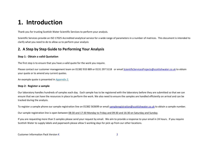# **1. Introduction**

Thank you for trusting Scottish Water Scientific Services to perform your analysis.

Scientific Services provide an ISO 17025 Accredited analytical service for a wide range of parameters in a number of matrices. This document is intended to clarify what you need to do to allow us to perform your analysis

# **2. A Step by Step Guide to Performing Your Analysis**

## <span id="page-1-0"></span>**Step 1: Obtain a valid Quotation**

The first step is to ensure that you have a valid quote for the work you require.

Please contact our customer management team on 01382 933 889 or 0131 297 5118 or emai[l ScientificServicesProjects@scottishwater.co.uk](mailto:ScientificServicesProjects@scottishwater.co.uk) to obtain your quote or to amend any current quotes.

An example quote is presented in *[Appendix 2](#page-6-0)*.

## **Step 2: Register a sample**

Our laboratory handles hundreds of samples each day. Each sample has to be registered with the laboratory before they are submitted so that we can ensure that we can have the resources in place to perform the work. We also need to ensure the samples are handled efficiently on arrival and can be tracked during the analysis.

To register a sample phone our sample registration line on 01382 563699 or email [sampleregistration@scottishwater.co.uk](mailto:sampleregistration@scottishwater.co.uk) to obtain a sample number.

Our sample registration line is open between 08:30 and 17:30 Monday to Friday and 09:30 and 16:30 on Saturday and Sunday.

If you are requesting more than 5 samples please send your request by email. We aim to provide a response to your email in 24 hours. If you require Scottish Water to supply labels and paperwork please allow 5 working days for pick up from our other locations.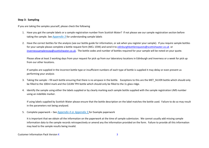## **Step 3: Sampling**

If you are taking the samples yourself, please check the following

- 1. Have you got the sample labels or a sample registration number from Scottish Water? If not please see our sample registration section before taking the sample. See *[Appendix 3](#page-11-0)* for understanding sample labels
- 2. Have the correct bottles for the analysis (see our bottle guide for information, or ask when you register your sample). If you require sample bottles for your sample please complete a bottle request form (MCL 1594) and send it to [edinburghbottlerequests@scottishwater.co.uk](mailto:edinburghbottlerequests@scottishwater.co.uk) or [invernesssamplerecep@scottishwater.co.uk.](mailto:invernesssamplerecep@scottishwater.co.uk) The bottle codes and number of bottles required for your sample will be noted on your quote.

Please allow at least 3 working days from your request for pick up from our laboratory locations in Edinburgh and Inverness or a week for pick up from our other locations.

If samples are supplied in the incorrect bottle type or insufficient numbers of each type of bottle is supplied it may delay or even prevent us performing your analysis

- 3. Taking the sample fill each bottle ensuring that there is no airspace in the bottle. Exceptions to this are the MET\_SILVER bottle which should only be filled to the 100ml mark and the CLEAN TPH bottle which should only be filled to the 1L glass ridge.
- 4. Identify the sample using either the labels supplied or by clearly marking each sample bottle supplied with the sample registration LIMS number using an indelible marker.

If using labels supplied by Scottish Water please ensure that the bottle description on the label matches the bottle used. Failure to do so may result in the parameters not being analysed.

5. Complete paperwork – See *[Appendix 4](#page-12-0)* or *[Appendix 5](#page-13-0)* for Example paperwork

It is important that we obtain all the information on the paperwork at the time of sample submission. We cannot usually add missing sample information data to the sample records retrospectively or amend any the information provided on the form. Failure to provide all this information may lead to the sample results being invalid.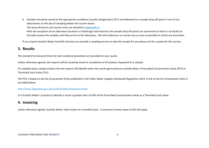6. Samples should be stored at the appropriate conditions (usually refrigerated 2-8°C) and delivered to a sample drop-off point or one of our laboratories on the day of sampling before the courier leaves.

The drop-off points and courier times are detailed in *[Appendix 6.](#page-14-0)* 

With the exception of our laboratory locations in Edinburgh and Inverness the sample drop off points are unmanned so there is no facility to formally receive the samples until they arrive at the laboratory. We will endeavour to contact you as soon as possible to clarify any anomalies

If you require Scottish Water Scientific Services can provide a sampling service to take the sample for you please ask for a quote for this service.

# **3. Results**

The standard turnaround times for each analytical parameter are provided on your quote.

Unless otherwise agreed, test reports will be issued by email on completion of all analysis requested on a sample.

For potable water sample analysis the test reports will identify when the results generated are outside either a Prescribed Concentration Value (PCV) or Threshold Limit Value (TLV).

The PCV is based on the list of parameter limits published in the Public Water Supplies (Scotland) Regulations 2014. A link to the list of parameter limits is provided below:

## <http://www.legislation.gov.uk/ssi/2014/364/schedule/1/made>

It is Scottish Water's practice to identify a result is greater than of 50% of the Prescribed Concentration Value as a Threshold Limit Value.

# **4. Invoicing**

Unless otherwise agreed, Scottish Water shall invoice on a monthly basis. A minimum invoice value of £50 will apply.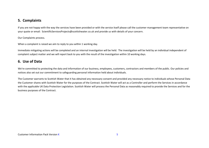# **5. Complaints**

If you are not happy with the way the services have been provided or with the service itself please call the customer management team representative on your quote or email: [ScientificServicesProjects@scottishwater.co.uk](mailto:ScientificServicesProjects@scottishwater.co.uk) and provide us with details of your concern.

Our Complaints process.

When a complaint is raised we aim to reply to you within 1 working day.

Immediate mitigating actions will be completed and an internal investigation will be held. The investigation will be held by an individual independent of complaint subject matter and we will report back to you with the result of the investigation within 10 working days.

# **6. Use of Data**

We're committed to protecting the data and information of our business, employees, customers, contractors and members of the public. Our policies and notices also set out our commitment to safeguarding personal information held about individuals.

The Customer warrants to Scottish Water that it has obtained any necessary consent and provided any necessary notice to individuals whose Personal Data the Customer shares with Scottish Water for the purposes of the Contract. Scottish Water will act as a Controller and perform the Services in accordance with the applicable UK Data Protection Legislation. Scottish Water will process the Personal Data as reasonably required to provide the Services and for the business purposes of the Contract.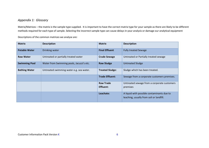# <span id="page-5-0"></span>*Appendix 1: Glossary*

Matrix/Matrices – the matrix is the sample type supplied. It is important to have the correct matrix type for your sample as there are likely to be different methods required for each type of sample. Selecting the incorrect sample type can cause delays in your analysis or damage our analytical equipment

Descriptions of the common matrices we analyse are:

| <b>Matrix</b>        | <b>Description</b>                        | <b>Matrix</b>          | <b>Description</b>                                                                     |
|----------------------|-------------------------------------------|------------------------|----------------------------------------------------------------------------------------|
| <b>Potable Water</b> | Drinking water                            | <b>Final Effluent</b>  | <b>Fully treated Sewage</b>                                                            |
| <b>Raw Water</b>     | Untreated or partially treated water      | <b>Crude Sewage</b>    | Untreated or Partially treated sewage                                                  |
| <b>Swimming Pool</b> | Water from Swimming pools, Jacuzzi's etc. | <b>Raw Sludge</b>      | <b>Untreated Sludge</b>                                                                |
| <b>Bathing Water</b> | Untreated swimming water e.g. sea water.  | <b>Treated Sludge:</b> | Sludge which has been treated.                                                         |
|                      |                                           | <b>Trade Effluent:</b> | Sewage from a corporate customers premises.                                            |
|                      |                                           | <b>Raw Trade</b>       | Untreated sewage from a corporate customers                                            |
|                      |                                           | <b>Effluent:</b>       | premises                                                                               |
|                      |                                           | Leachate:              | A liquid with possible contaminants due to<br>leaching, usually from soil or landfill. |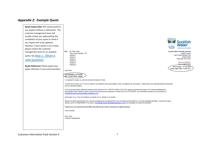# <span id="page-6-0"></span>*Appendix 2: Example Quote*

| <b>Quote Expiry Date:</b> We cannot perform |                                                                                                                                                                                                                                                                                                                                                                              |                                                             |
|---------------------------------------------|------------------------------------------------------------------------------------------------------------------------------------------------------------------------------------------------------------------------------------------------------------------------------------------------------------------------------------------------------------------------------|-------------------------------------------------------------|
| any analysis without a valid quote. The     |                                                                                                                                                                                                                                                                                                                                                                              |                                                             |
| customer management team will               |                                                                                                                                                                                                                                                                                                                                                                              |                                                             |
| usually contact you approaching the         |                                                                                                                                                                                                                                                                                                                                                                              |                                                             |
| completion of your quote to check if        |                                                                                                                                                                                                                                                                                                                                                                              |                                                             |
| you require this to be updated.             |                                                                                                                                                                                                                                                                                                                                                                              | <b>Scottish</b>                                             |
| However, If your quote is out of date,      |                                                                                                                                                                                                                                                                                                                                                                              |                                                             |
| please contact the customer                 |                                                                                                                                                                                                                                                                                                                                                                              | Trusted to serve Scotland                                   |
| management team for an updated              | Mr. Peter Jones<br><b>FAO:</b><br>Peter Jones Industries LTD                                                                                                                                                                                                                                                                                                                 | <b>Scottish Water Scientific Services</b><br>Juniper House. |
| quote. See Step 1: Obtain a                 | Address <sub>1</sub>                                                                                                                                                                                                                                                                                                                                                         | <b>Heriot Watt Research Park</b>                            |
|                                             | Address2<br>Address 3                                                                                                                                                                                                                                                                                                                                                        | <b>Avenue North</b><br>Edinburgh, EH14 4AP                  |
| valid Quotation                             | Address 4<br>Address 5                                                                                                                                                                                                                                                                                                                                                       | Tel: 0131 5597137                                           |
| Quote Reference: Please quote your          | Address 6                                                                                                                                                                                                                                                                                                                                                                    | Fax: 01382 563459                                           |
|                                             |                                                                                                                                                                                                                                                                                                                                                                              | Date of Issue: 16-Mar-2016<br>Quote Expiry Date: 9-Mar-2017 |
| quote reference in any communication        | Dear Peter.                                                                                                                                                                                                                                                                                                                                                                  |                                                             |
|                                             | Quote Number: Q/016/0022                                                                                                                                                                                                                                                                                                                                                     |                                                             |
|                                             | <b>REF: Private Water Supply</b>                                                                                                                                                                                                                                                                                                                                             |                                                             |
|                                             | I am pleased to supply you with the enclosed Schedule of Rates.                                                                                                                                                                                                                                                                                                              |                                                             |
|                                             | All prices are exclusive of VAT and are subject to our standard terms and conditions, which are attached for your perusal . Please refer to the attached guidance documents<br>prior to submitting samples.                                                                                                                                                                  |                                                             |
|                                             | If you require any further information please contact myself on 0131 5597137 or 07501 471617 with regard to any technical queries. The Customer Management<br>Administration Team handle account or payment issues and can be contacted on 01382 563151 or 0131 5597201. Our Inverness Laboratory can be contacted at<br>ScientificServicesInvernessLab@scottishwater.co.uk. |                                                             |
|                                             | Information on our UKAS Accreditation is available on our Website or by request.                                                                                                                                                                                                                                                                                             |                                                             |
|                                             | Should you wish to proceed with your order the enclosed Quote Acceptance form must be signed and returned to our Customer Management office, by post to the above<br>address, by fax to 01382 563459 or by email to ScientificServicesProjects@scottishwater.co.uk prior to samples arriving at the laboratory.                                                              |                                                             |
|                                             | If this form is not returned Scottish Water Scientific Services will proceed as per original quotation.                                                                                                                                                                                                                                                                      |                                                             |
|                                             | Yours sincerely                                                                                                                                                                                                                                                                                                                                                              |                                                             |
|                                             | <b>Ross Taylor</b><br><b>Customer Management</b>                                                                                                                                                                                                                                                                                                                             |                                                             |
|                                             |                                                                                                                                                                                                                                                                                                                                                                              |                                                             |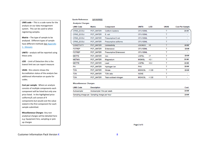**LIMS code** – This is a code name for the analysis on our data management system. This can be used to when registering samples.

**Matrix** – The type of sample to be analysed. Different types of sample have different methods See Appendix [1: Glossary](#page-5-0)

**UNITS** – analysis will be reported using these units

**LOD**  - Limit of Detection this is the lowest limit we can report measure

**UKAS** - this column shows the Accreditation status of the analysis See additional information on quote for codes.

**Cost per sample**: Where an analysis consists of multiple components each component will be listed but only one price listed. In the highlighted price coliforms/E.coli consist of 4 components but would cost the value stated in the first component for each sample submitted.

**Miscellaneous Charges** - Any non analytical charges will be detailed here e.g. Equipment hire, sampling or pick up charges

#### Quote Reference: Q/016/0022

**Analysis Charges** 

| <b>LIMS Code</b> | Matrix    | Component               | <b>UNITS</b>  | <b>LOD</b> | <b>UKAS</b> | <b>Cost Per Sample</b>   |
|------------------|-----------|-------------------------|---------------|------------|-------------|--------------------------|
| CFMS ECOLI       | POT WATER | Coliform bacteria       | CFU100ML      |            |             | £#.##                    |
| CFMS ECOLI       | POT WATER | $E.$ coli               | CFU100ML      |            | т           |                          |
| CFMS ECOLI       | POT WATER | Presumptive E coli      | CFU100ML      |            | т           |                          |
| CFMS ECOLI       | POT WATER | Presumptive coliforms   | CFU100ML      |            | т           |                          |
| CONDTIVITY       | POT WATER | Conductivity            | USCM2O        | <5         |             | £#.##                    |
| <b>FSTREP</b>    | POT WATER | Enterococci             | CFU100ML      |            | т           | £#.##                    |
| <b>FSTREP</b>    | POT_WATER | Presumptive Enterococci | CFU100ML      |            | т           |                          |
| <b>METFE</b>     | POT WATER | Iron                    | <b>UGFEL</b>  | -17        | т           | £#.##                    |
| <b>METMG</b>     | POT_WATER | Magnesium               | <b>MGMGL</b>  | < 0.1      | т           | £#.##                    |
| <b>METPB</b>     | POT WATER | Lead                    | <b>UGPBL</b>  | < 0.2      | т           | £#.##                    |
| PH               | POT WATER | Hydrogen ion            | PHV           |            | т           | £#.##                    |
| <b>TON</b>       | POT WATER | Nitrate                 | <b>MGNO3L</b> | < 1.00     | т           | £#.##                    |
| <b>TON</b>       | POT WATER | TON ratio               | <b>NONE</b>   |            | т           | $\overline{\phantom{0}}$ |
| TON              | POT WATER | Total oxidised nitrogen | <b>MGNO3L</b> | < 1.00     | т           |                          |
|                  |           |                         |               |            |             |                          |

#### **Miscellaneous Charges**

| <b>LIMS Code</b> | Description                                  | Cost  |
|------------------|----------------------------------------------|-------|
| Autosampler      | Autosampler Hire per week                    | £#.## |
|                  | Sampling charge per Sampling charge per hour | £#.## |

Page 2 of 5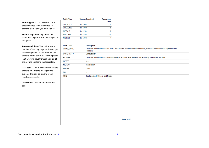|                                                                                      | <b>Bottle Type</b> | <b>Volume Required</b> | <b>Turnaround</b><br>Time |
|--------------------------------------------------------------------------------------|--------------------|------------------------|---------------------------|
| <b>Bottle Type - This is the list of bottle</b><br>types required to be submitted to | <b>CHEM 250</b>    | $1 \times 250$ ml      | 6                         |
| perform all the analysis on the quote.                                               | <b>CHEM 500</b>    | $1 \times 500$ ml      | 6                         |
|                                                                                      | <b>METALS</b>      | $1 \times 125$ ml      | 6                         |
| Volume required - required to be                                                     | <b>MET ANI</b>     | $1 \times 125$ ml      | 10                        |
| submitted to perform all the analysis on                                             | <b>MICROT</b>      | $1 \times 500$ ml      | Δ                         |

**Turnaround time**– This indicates the number of working days for the analysis to be completed. In this example the analysis on the quote will be completed in 10 working days from submission of the sample bottles to the laboratory.

the quote

**LIMS code** – This is a code name for the analysis on our data management system. This can be used to when registering samples.

**Description** – Full description of the test

| LIMS Code         | Description                                                                                                                      |
|-------------------|----------------------------------------------------------------------------------------------------------------------------------|
| <b>CFMS ECOLI</b> | Detection and enumeration of Total Coliforms and Escherichia coli in Potable, Raw and Polluted waters by Membrane<br>Filtration. |
| <b>CONDTIVITY</b> | Conductivity                                                                                                                     |
| <b>FSTREP</b>     | Detection and enumeration of Enterococci in Potable, Raw and Polluted waters by Membrane Filtration                              |
| <b>METFE</b>      | Iron                                                                                                                             |
| <b>METMG</b>      | Magnesium                                                                                                                        |
| <b>METPB</b>      | Lead                                                                                                                             |
| <b>PH</b>         | pH                                                                                                                               |
| TON               | Total oxidised nitrogen and Nitrate                                                                                              |
|                   |                                                                                                                                  |

Page 3 of 5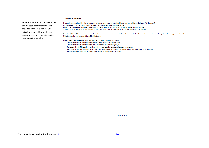#### **Additional Information:**

**Additional information** – Any quote or It cannot be guaranteed that the temperature of samples transported from the islands can be maintained between 2-8 degrees C. UKAS Codes. T= accredited. F=unaccredited. FS = Accredited under Flexible Scope\* sample specific information will be LOD quoted above may vary due to the matrix of the sample. Significant variances will be notified to the customer provided here. This may include Samples may be analysed at any Scottish Water Laboratory. This may be due to instrument downtime or workloads. indication if any of the analysis is \*Scottish Water's Chemistry Laboratories have been deemed competent by UKAS to claim accreditation for specific new tests even though they do not appear on the laboratory 's subcontracted or if there is specific UKAS schedule; this is referred to as Flexible Scope. instruction for samples Unless previously agreed our Standard Sample Turnaround time is as follows: Samples received in our laboratory before 12 noon will be 10 working days. Samples received in our laboratory after 12 noon will be 11 working days. Samples with only Microbiology analysis will be reported after one day of sample completion. Samples with both Microbiological and Chemical analysis will be reported on completion and authorisation of all analysis. Samples subcontracted will be reported on receipt of subcontractor's results. Page 4 of 5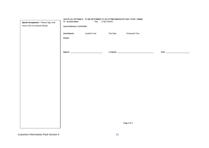| Quote Acceptance - Please Sign and<br>return this to Scottish Water. | To: Scottish Water<br>Quote Reference: Q/016/0022 |                | Fax: 01382 563459 |                        |  |
|----------------------------------------------------------------------|---------------------------------------------------|----------------|-------------------|------------------------|--|
|                                                                      | <b>Amendments</b><br>Details:                     | Quantity/ Cost | <b>Test Suite</b> | <b>Turnaround Time</b> |  |
|                                                                      | Signed: __________________________________        |                |                   |                        |  |
|                                                                      |                                                   |                |                   |                        |  |
|                                                                      |                                                   |                |                   |                        |  |
|                                                                      |                                                   |                |                   |                        |  |
|                                                                      |                                                   |                |                   |                        |  |
|                                                                      |                                                   |                |                   |                        |  |
|                                                                      |                                                   |                |                   | Page 5 of 5            |  |

# QUOTE ACCEPTANCE - TO BE RETURNED TO SCOTTISH WATER BY FAX / POST / EMAIL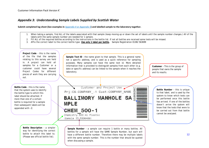## <span id="page-11-0"></span>*Appendix 3: Understanding Sample Labels Supplied by Scottish Water*

**Submit completed log sheet (See examples in** *[Appendix 4](#page-12-0)* or *[Appendix 5](#page-13-0)***) and labelled sample to the laboratory together.**

- 1. When taking a sample, find ALL of the labels associated with that sample (keep moving up or down the set of labels until the sample number changes.) All of the labels with the same sample number are needed for 1 sample.
- 2. Fill ALL of the required bottles according to the instructions in the bottle list. If not all bottles are received some tests will be missed.
- 3. Affix the correct label to the correct bottle type. **Use only 1 label per bottle.** Sample Registration 01382 563699

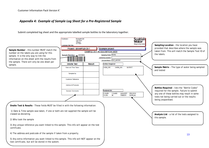# <span id="page-12-0"></span>*Appendix 4: Example of Sample Log Sheet for a Pre-Registered Sample*

Submit completed log sheet and the appropriate labelled sample bottles to the laboratory together.

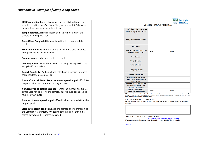# <span id="page-13-0"></span>Appendix 5: Example of Sample Log Sheet

**LIMS Sample Number** – this number can be obtained from our sample reception line (See Step 2 Register a sample) Only submit be one sheet per set of sample bottles.

**Sample location/Address** –Please add the full location of the sample including postcode

**Date &Time Sampled**– this must be added to ensure a validated result

**Free/total Chlorine –** Results of onsite analysis should be added here (New mains customers only)

**Sampler name** – enter who took the sample

**Company name –** Enter the name of the company requesting the analysis (if appropriate

**Report Results To:** Add email and telephone of person to report these results to on completion

**Name of Scottish Water Depot where sample dropped off :** Enter Drop off point used here for tracking purposes

**Number/Type of bottles supplied** – Enter the number and type of bottle used for collecting the sample. (Bottle type codes can be found on your quote)

**Date and time sample dropped off** –Add when this was left at the dropoff point.

**Storage transport conditions**–Add the storage during transport to the Scottish Water Depot. Unless indicated samples should be stored between 2-8°C unless indicated



MCL2099 - SAMPLE PROFORMA

| <b>LIMS Sample Number</b><br>(write this number clearly on each<br>bottle)   |       |       |
|------------------------------------------------------------------------------|-------|-------|
| <b>Sample Location/ Address</b>                                              |       |       |
| <b>POSTCODE</b>                                                              |       |       |
| Date & Time Sampled: THIS<br>IS VERY IMPORTANT.                              | Date: | Time: |
| <b>Free Chlorine:</b>                                                        |       |       |
| <b>Total Chlorine:</b>                                                       |       |       |
| Sampler's Name:                                                              |       |       |
| <b>Company Name:</b>                                                         |       |       |
| <b>Report Results To:</b>                                                    |       |       |
| Name of Scottish Water<br>depot where sample was<br>dropped off.             |       |       |
| Number of bottles for this<br>sample and bottle type<br>supplied (if known)* |       |       |
| Date & Time of when<br>sample was dropped off.                               | Date: | Time: |

" This information is required to confirm the number of each bottle type used and provide improved chain of custody. The appropriate code for each bottle type used for this this can be found on the sample labels (if supplied) or in the bottle euide. Additional bottles can be referenced below

**STORAGE / TRANSPORT CONDITIONS: -**

Record below conditions used to transport/store the sample if not delivered immediately to the lab.

**SAMPLE REGISTRATION:-**01382 563699 sampleregistration@scottishwater.co.uk If you are registering more than 5 samples request MUST be by email.

**Edition C**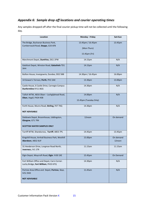# <span id="page-14-0"></span>*Appendix 6: Sample drop off locations and courier operating times*

Any samples dropped off after the final courier pickup time will not be collected until the following day.

| Location                                                                                          | Monday - Friday                                   | Sat+Sun             |
|---------------------------------------------------------------------------------------------------|---------------------------------------------------|---------------------|
| The Bridge, Buchanan Business Park,<br>Cumbernauld Road, Stepps, G33 6FB                          | 13.45pm / 16.45pm<br>(Mon-Thurs)<br>15.45pm (Fri) | 13.45pm             |
| Marchmont Depot, Dumfries, DG1 1PW                                                                | 14.15pm                                           | N/A                 |
| Galafoot Depot, Winston Road, Galashiels TD1<br>3HH                                               | 14.15pm                                           | N/A                 |
| Bullion House, Invergowrie, Dundee, DD2 5BB                                                       | 14.30pm / 16.45pm                                 | 16.00pm             |
| 14 Gowan's Terrace, Perth, PH1 5AX                                                                | 13.30pm                                           | 13.00pm             |
| Castle House, 6 Castle Drive, Carnegie Campus<br>Dunfermline KY11 8GG                             | 14.30pm                                           | N/A                 |
| Tullich WTW, A816 Oban - Lochgilphead Road,<br>Oban, Argyll, PA34 4SB                             | 14.00pm<br>15.45pm (Tuesday Only)                 | N/A                 |
| Forth House, Munro Road, Stirling, FK7 7XQ<br><b>NOT ADVISABLE</b>                                | 14.30pm                                           | N/A                 |
| Daldowie Depot, Broomhouse, Uddingston,<br>Glasgow, G71 7RX<br><b>SCOTTISH WATER SAMPLES ONLY</b> | 12noon                                            | On demand           |
| Turriff WTW, Shandscross, Turriff, AB53 7PL                                                       | 14.45pm                                           | 13.45pm             |
| Kingshill House, Arnhall Business Park, Westhill<br>Aberdeen, AB32 6UF                            | 15.00pm                                           | On demand<br>12noon |
| 31 Henderson Drive, Longman Road North,<br>Inverness, IV1 1TR                                     | 11.15am                                           | 11.15am             |
| Elgin Depot, Moycroft Road, Elgin. IV30 1XE                                                       | 15.45pm                                           | On Demand           |
| Fort William Office and Depot, Carrs Corner.<br>Lochy Bridge, Fort William, PH33 6TQ              | 14.30pm                                           | N/A                 |
| Portree Area Office and Depot, Portree, Skye,<br><b>IV51 9HD</b><br><b>NOT ADVISABLE</b>          | 11.45am                                           | N/A                 |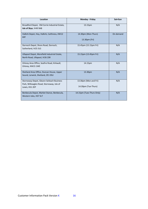| Location                                                                                                 | Monday - Friday                              | Sat+Sun   |
|----------------------------------------------------------------------------------------------------------|----------------------------------------------|-----------|
| Broadford Depot, Old Corrie Industrial Estate,<br>Isle of Skye, IV49 9AB                                 | 13.15pm                                      | N/A       |
| Halkirk Depot, Hoy, Halkirk, Caithness, KW12<br>6XF                                                      | 14.30pm (Mon-Thurs)<br>13.30pm (Fri)         | On demand |
| Dornoch Depot, Shore Road, Dornoch,<br>Sutherland, IV25 3LS                                              | 15.45pm (15.15pm Fri)                        | N/A       |
| Ullapool Depot, Morefield Industrial Estate,<br>North Road, Ullapool, IV26 2SR                           | 15.15pm (13.45pm Fri)                        | N/A       |
| Orkney Area Office, Seafire Road, Kirkwall,<br>Orkney, KW15 1WE                                          | 14.15pm                                      | N/A       |
| Shetland Area Office, Duncan House, Upper<br>Sound, Lerwick, Shetland, ZE1 0SU                           | 13.30pm                                      | N/A       |
| Stornoway Depot, Gleann Seileach Business<br>Park, Willowglen Road, Stornoway, Isle of<br>Lewis, HS1 2EP | 13.30pm (Mon and Fri)<br>14.30pm (Tue-Thurs) | N/A       |
| Benbecula Depot, Market Stance, Benbecula,<br>Western Isles, HS7 5LT                                     | 14.15pm (Tues-Thurs Only)                    | N/A       |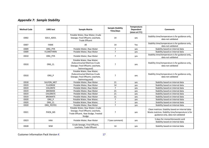# *Appendix 7: Sample Stability*

| <b>Method Code</b> | <b>LIMS</b> test  | <b>Sample Matrix</b>                                                                                                  | <b>Sample Stability</b><br>Time/days | Temperature<br>Dependent<br>(store at 5°C) | <b>Comments</b>                                                                                                                            |
|--------------------|-------------------|-----------------------------------------------------------------------------------------------------------------------|--------------------------------------|--------------------------------------------|--------------------------------------------------------------------------------------------------------------------------------------------|
| O002               | SOLV_ADD1         | Potable Water, Raw Water; Crude<br>Sewage, Final Effluent, Leachate,<br><b>Trade Effluent</b>                         | 14                                   | yes                                        | Stability time/temperature is for guidance only,<br>data not validated                                                                     |
| O007               | <b>FAME</b>       | All                                                                                                                   | 14                                   | Yes                                        | Stability time/temperature is for guidance only,<br>data not validated                                                                     |
| O009               | ORG PYR           | Potable Water, Raw Water                                                                                              | $\overline{7}$                       | yes                                        | Stability based on internal data                                                                                                           |
| O009               | <b>FLUMETHRIN</b> | Potable Water, Raw Water                                                                                              | $\overline{7}$                       | yes                                        | Stability based on internal data                                                                                                           |
| 0010               | ORG_PYR           | Potable Water, Raw Water                                                                                              | $\overline{7}$                       | yes                                        | Stability time/temperature is for guidance only,<br>data not validated                                                                     |
| O010               | ORG_CL            | Potable Water, Raw Water;<br>(Subcontracted Matrices Crude)<br>Sewage, Final Effluent, Leachate,<br>Swimming pool)    | $\overline{7}$                       | yes                                        | Stability time/temperature is for guidance only,<br>data not validated                                                                     |
| O010               | ORG P             | Potable Water, Raw Water;<br>(Subcontracted Matrices Crude)<br>Sewage, Final Effluent, Leachate,<br>Swimming pool)    | $\overline{7}$                       | yes                                        | Stability time/temperature is for guidance only,<br>data not validated                                                                     |
| O018               | SULFON MET        | Potable Water, Raw Water                                                                                              | 21                                   | yes                                        | Stability based on internal data                                                                                                           |
| O019               | <b>FLUORIDE</b>   | Potable Water, Raw Water                                                                                              | 14                                   | yes                                        | Stability based on internal data                                                                                                           |
| 0019               | <b>CHLORITE</b>   | Potable Water, Raw Water                                                                                              | $\overline{7}$                       | yes                                        | Stability based on internal data                                                                                                           |
| O019               | <b>BROMIDE</b>    | Potable Water, Raw Water                                                                                              | 21                                   | yes                                        | Stability based on internal data                                                                                                           |
| O019               | <b>CHLORATE</b>   | Potable Water, Raw Water                                                                                              | 21                                   | yes                                        | Stability based on internal data                                                                                                           |
| 0019               | <b>BROMATE</b>    | Potable Water, Raw Water                                                                                              | 21                                   | yes                                        | Stability based on internal data                                                                                                           |
| O020               | ORG P             | Potable Water, Raw Water;                                                                                             | $\overline{7}$                       | yes                                        | Stability based on internal data                                                                                                           |
| O020               | ORG CL            | Potable Water, Raw Water;                                                                                             | $\overline{7}$                       | yes                                        | Stability based on internal data                                                                                                           |
| O020               | ORG PEST01        | Potable Water, Raw Water                                                                                              | $\overline{7}$                       | yes                                        | Stability based on internal data                                                                                                           |
| O021               | PHEN_MS           | Potable Water, Raw Water; Crude<br>Sewage, Final Effluent, Leachate,<br>Trade Effluent, Raw Sludge, Treated<br>Sludge | $\overline{7}$                       | yes                                        | Clean matrices: Stability based on internal data<br>Waste matrices: Stability time/temperature is for<br>guidance only, data not validated |
| O023               | <b>HAA</b>        | Potable Water, Raw Water                                                                                              | 7 (see comment)                      | yes                                        | 5 days for monochloroacetic acid<br>Stability based on internal data                                                                       |
| O028               | SEM               | Crude Sewage, Final Effluent,<br>Leachate, Trade Effluent                                                             | 14                                   | yes                                        | Stability based on internal data                                                                                                           |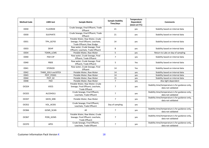| <b>Method Code</b> | <b>LIMS</b> test   | <b>Sample Matrix</b>                                                                               | <b>Sample Stability</b><br>Time/days | Temperature<br>Dependent<br>(store at 5°C) | <b>Comments</b>                                                        |
|--------------------|--------------------|----------------------------------------------------------------------------------------------------|--------------------------------------|--------------------------------------------|------------------------------------------------------------------------|
| O030               | <b>FLUORIDE</b>    | Crude Sewage, Final Effluent, Trade<br>Effluent                                                    | 21                                   | yes                                        | Stability based on internal data                                       |
| O030               | <b>SULPHATE</b>    | Crude Sewage, Final Effluent, Trade<br>Effluent                                                    | 21                                   | yes                                        | Stability based on internal data                                       |
| 0031               | TPH GCFID          | Potable Water, Raw Water, Crude<br>Sewage, Final Effluent, Leachate,<br>Trade Effluent; Raw Sludge | 14                                   | yes                                        | Stability based on internal data                                       |
| O033               | <b>DEHP</b>        | Raw water, Crude Sewage, Final<br>Effluent, Leachate, Trade Effluent                               | 8                                    | yes                                        | Stability based on internal data                                       |
| O034               | TOXIN LCMS         | Potable Water, Raw Water                                                                           | 5                                    | yes                                        | Return to Labs on day of sampling                                      |
| O040               | PAH-CIP            | Raw water, Crude Sewage, Final<br>Effluent, Trade Effluent                                         | $\overline{7}$                       | yes                                        | Stability based on internal data                                       |
| O040               | PBDE               | Raw water, Crude Sewage, Final<br>Effluent, Trade Effluent                                         | 5                                    | Yes                                        | Stability based on internal data                                       |
| 0041               | <b>STERIOD</b>     | Raw water, Crude Sewage, Final<br>Effluent                                                         | 14                                   | Yes                                        | Stability based on internal data                                       |
| O042               | THMS SOLV and BTEX | Potable Water, Raw Water                                                                           | 14                                   | yes                                        | Stability based on internal data                                       |
| O043               | PEST POS01         | Potable Water; Raw Water                                                                           | 14                                   | yes                                        | Stability based on internal data                                       |
| O044               | PEST 02            | Potable Water; Raw Water                                                                           | 15                                   | yes                                        | Stability based on internal data                                       |
| O048               | PAH                | Potable Water, Raw Water                                                                           | $\overline{7}$                       | yes                                        | Also light dependent                                                   |
| OC024              | <b>VOCS</b>        | Potable Water, Raw Water; Crude<br>Sewage, Final Effluent, Leachate,<br><b>Trade Effluent</b>      | $\overline{7}$                       | yes                                        | Stability time/temperature is for guidance only,<br>data not validated |
| OC025              | <b>ALCOHOLS</b>    | Crude Sewage, Final Effluent,<br>Leachate, Trade Effluent                                          | $\overline{7}$                       | yes                                        | Stability time/temperature is for guidance only,<br>data not validated |
| OC037              | GEOS_MIB           | Potable Water, Raw Water                                                                           | $\overline{7}$                       | yes                                        | Stability time/temperature is for guidance only,<br>data not validated |
| OC052              | VOL_ACIDS          | Crude Sewage, Final Effluent,<br>Leachate, Trade Effluent                                          | Day of sampling                      | yes                                        |                                                                        |
| OC066              | GCMS_SCAN          | All                                                                                                | $\overline{7}$                       | yes                                        | Stability time/temperature is for guidance only,<br>data not validated |
| OC067              | PCBS GCMS          | Potable Water, Raw Water; Crude<br>Sewage, Final Effluent, Leachate,<br><b>Trade Effluent</b>      | $\overline{7}$                       | yes                                        | Stability time/temperature is for guidance only,<br>data not validated |
| OC070              | <b>APES</b>        | Crude Sewage, Final Effluent,<br>Leachate, Trade Effluent                                          | $\overline{7}$                       | yes                                        | Stability time/temperature is for guidance only,<br>data not validated |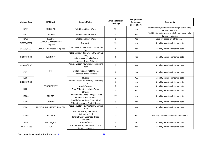| <b>Method Code</b> | <b>LIMS</b> test                         | <b>Sample Matrix</b>                                                                                     | <b>Sample Stability</b><br>Time/days | Temperature<br><b>Dependent</b><br>(store at 5°C) | <b>Comments</b>                                                        |
|--------------------|------------------------------------------|----------------------------------------------------------------------------------------------------------|--------------------------------------|---------------------------------------------------|------------------------------------------------------------------------|
| RAD1               | GROSS AB                                 | Potable and Raw Water                                                                                    | 15                                   | yes                                               | Stability time/temperature is for guidance only,<br>data not validated |
| RAD <sub>2</sub>   | TRITIUM                                  | Potable and Raw Water                                                                                    | 15                                   | yes                                               | Stability time/temperature is for guidance only,<br>data not validated |
| RAD3               | <b>RADON</b>                             | Potable and Raw Water                                                                                    | $\mathbf{3}$                         | Yes                                               | Stability based on ISO 13156-4                                         |
| GIC003/IC002       | <b>COLOUR</b> (Unchlorinated<br>samples) | Raw Water                                                                                                | 12                                   | yes                                               | Stability based on internal data                                       |
| GIC003/IC002       | <b>COLOUR</b> (Chlorinated samples)      | Potable water, Raw water, Swimming<br>Pool:                                                              | 4                                    | yes                                               | Stability based on internal data                                       |
| GIC003/IN33        | <b>TURBIDITY</b>                         | Potable water, Raw water, Swimming<br>Pool,<br>Crude Sewage, Final Effluent,<br>Leachate, Trade Effluent | 4                                    | yes                                               | Stability based on internal data                                       |
| GIC003/IN37        |                                          | Potable Water; Raw water, Swimming<br>pool                                                               | 5                                    | yes                                               | Stability based on internal data                                       |
| <b>IC073</b>       | PH                                       | Crude Sewage, Final Effluent,<br>Leachate, Trade Effluent                                                | $\overline{7}$                       | Yes                                               | Stability based on internal data                                       |
| <b>IC081</b>       |                                          | Sludges                                                                                                  | 6                                    | <b>YES</b>                                        | Stability based on internal data                                       |
| GIC003/IN38        |                                          | Potable Water; Raw water, Swimming<br>pool                                                               | 5                                    | yes                                               | Stability based on internal data                                       |
|                    | <b>CONDUCTIVITY</b>                      | Crude Sewage                                                                                             | $\overline{7}$                       | yes                                               | Stability based on internal data                                       |
| <b>IC084</b>       |                                          | Final Effluent, Leachate, Trade<br>Effluent                                                              | 14                                   | yes                                               | Stability based on internal data                                       |
| <b>IC006</b>       | AN_DET                                   | Final Effluent, Crude Sewage, Trade<br>Effluent Trade Effluent,                                          | 17                                   | yes                                               | Stability based on internal data                                       |
| <b>IC008</b>       | <b>CYANIDE</b>                           | Potable Water, Raw Water, Final<br>Effluent Leachate, Trade Effluent                                     | 6                                    | yes                                               | Stability based on internal data                                       |
| <b>IC009</b>       | AMMONIUM, NITRITE, TON, SRP              | Potable Water, Raw Water Swimming<br>Pool                                                                | 13                                   | yes                                               | Stability based on internal data                                       |
| <b>IC009</b>       | <b>CHLORIDE</b>                          | Potable Water, Raw Water,<br><b>Swimming Pool</b><br>Final Effluent Leachate, Trade<br>Effluent;         | 28                                   | yes                                               | Stability period based on BS ISO 5667:3                                |
| D40                | TOTDIS SDS                               | Potable/Raw                                                                                              | 14                                   | no                                                | Stability based on internal data                                       |
| D45.1 / IC063      | <b>TOC</b>                               | Potable Water, Raw Water, Crude<br>Sewage, Leachate                                                      | 8                                    | yes                                               | Stability based on internal data                                       |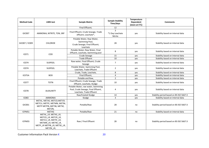| <b>Method Code</b> | <b>LIMS</b> test                                                                                                                     | <b>Sample Matrix</b>                                                                                  | <b>Sample Stability</b><br>Time/days         | Temperature<br>Dependent<br>(store at 5°C) | <b>Comments</b>                         |
|--------------------|--------------------------------------------------------------------------------------------------------------------------------------|-------------------------------------------------------------------------------------------------------|----------------------------------------------|--------------------------------------------|-----------------------------------------|
|                    |                                                                                                                                      | Final Effluent;                                                                                       | 12                                           |                                            |                                         |
| GIC007             | AMMONIA, NITRITE, TON, SRP                                                                                                           | Final Effluent, Crude Sewage, Trade<br>effluent, Leachate*,                                           | $\overline{3}$<br>*1 Day Leachate<br>Nitrite | yes                                        | Stability based on internal data        |
| GIC007 / IC009     | <b>CHLORIDE</b>                                                                                                                      | Potable Water, Raw Water,<br>Swimming Pool,<br>Crude Sewage; Final Effluent;<br>Leachate              | 28                                           | yes                                        | Stability based on internal data        |
| IC071              | COD                                                                                                                                  | Potable Water; Raw Water, Final<br>Effluent, Leachate, Swimming pool                                  | 8                                            | yes                                        | Stability based on internal data        |
|                    |                                                                                                                                      | Crude Sewage                                                                                          | 15                                           | yes                                        | Stability based on internal data        |
|                    |                                                                                                                                      | <b>Trade Effluent</b>                                                                                 | 10                                           | yes                                        | Stability based on internal data        |
| <b>IC074</b>       | SUSPSOL                                                                                                                              | Raw water, Final Effluent, Crude<br>Sewage                                                            | $\overline{7}$                               | yes                                        | Stability based on internal data        |
| <b>IC074</b>       | SUSPSOL                                                                                                                              | Potable Water, Swimming Pool,<br>Leachate, Trade Effluent                                             | $\overline{2}$                               | yes                                        | Stability based on internal data        |
|                    | <b>BOD</b>                                                                                                                           | Crude, Trade, Leachate,                                                                               | 8                                            | yes                                        | Stability based on internal data        |
| <b>IC075A</b>      |                                                                                                                                      | Final Effluent,                                                                                       | 4                                            | yes                                        | Stability based on internal data        |
|                    |                                                                                                                                      | Potable and Raw,                                                                                      | $\overline{2}$                               | yes                                        | Stability based on internal data        |
| <b>IC077</b>       | <b>TOTN</b>                                                                                                                          | Final Effluent, Crude Sewage, Trade<br>Effluent, Leachate, Sludge                                     | 10                                           | yes                                        | Stability based on internal data        |
| <b>IC078</b>       | <b>ALKALINITY</b>                                                                                                                    | Potable Water, raw water, Swimming<br>Pool, Crude Sewage, Final Effluent,<br>Leachate, Trade Effluent | 4                                            | yes                                        | Stability based on internal data        |
|                    |                                                                                                                                      | Raw/treated Sludge                                                                                    | 14                                           | yes                                        | Stability period based on BS ISO 5667:3 |
| <b>IC083</b>       | <b>AMMONIA</b>                                                                                                                       | Sludge                                                                                                | 3                                            | yes                                        | Stability based on internal data        |
| GIC001             | METAL, METAS, METCD, METCR,<br>METCU, METFE, METMN, METNI,<br>METP METPB, METSB, METSE,<br>METZN,                                    | Potable/Raw                                                                                           | 28                                           | no                                         | Stability period based on BS ISO 5667:3 |
| ICPMS1             | <b>METHG</b>                                                                                                                         | Potable/Raw                                                                                           | 21                                           | no                                         | Stability based on internal data        |
| ICPMS5             | METAL LR, METAS LR,<br>METCD_LR, METCR_LR,<br>METCU_LR, METFE_LR,<br>METMN_LR, METNI_LR,<br>METP_LR METPB_LR, METSE_LR,<br>METZN_LR, | Raw / Final Effluent                                                                                  | 28                                           | no                                         | Stability period based on BS ISO 5667:3 |